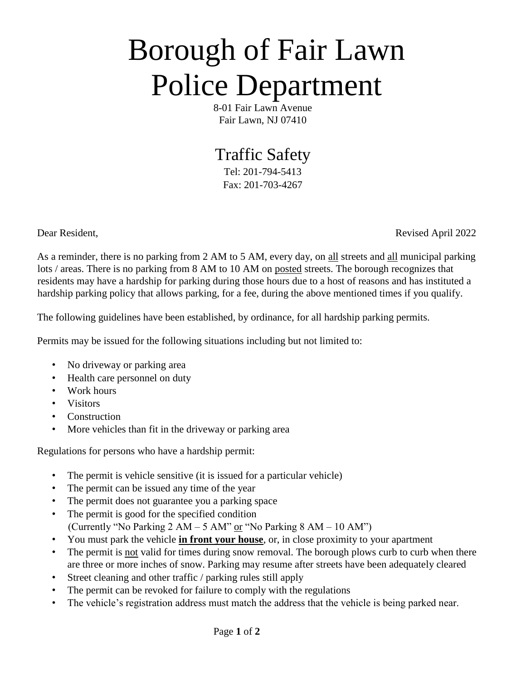## Borough of Fair Lawn Police Department

8-01 Fair Lawn Avenue Fair Lawn, NJ 07410

## Traffic Safety

Tel: 201-794-5413 Fax: 201-703-4267

Dear Resident, **Revised April 2022** 

As a reminder, there is no parking from 2 AM to 5 AM, every day, on all streets and all municipal parking lots / areas. There is no parking from 8 AM to 10 AM on posted streets. The borough recognizes that residents may have a hardship for parking during those hours due to a host of reasons and has instituted a hardship parking policy that allows parking, for a fee, during the above mentioned times if you qualify.

The following guidelines have been established, by ordinance, for all hardship parking permits.

Permits may be issued for the following situations including but not limited to:

- No driveway or parking area
- Health care personnel on duty
- Work hours
- Visitors
- Construction
- More vehicles than fit in the driveway or parking area

Regulations for persons who have a hardship permit:

- The permit is vehicle sensitive (it is issued for a particular vehicle)
- The permit can be issued any time of the year
- The permit does not guarantee you a parking space
- The permit is good for the specified condition (Currently "No Parking  $2 AM - 5 AM$ " or "No Parking  $8 AM - 10 AM$ ")
- You must park the vehicle **in front your house**, or, in close proximity to your apartment
- The permit is <u>not</u> valid for times during snow removal. The borough plows curb to curb when there are three or more inches of snow. Parking may resume after streets have been adequately cleared
- Street cleaning and other traffic / parking rules still apply
- The permit can be revoked for failure to comply with the regulations
- The vehicle's registration address must match the address that the vehicle is being parked near.